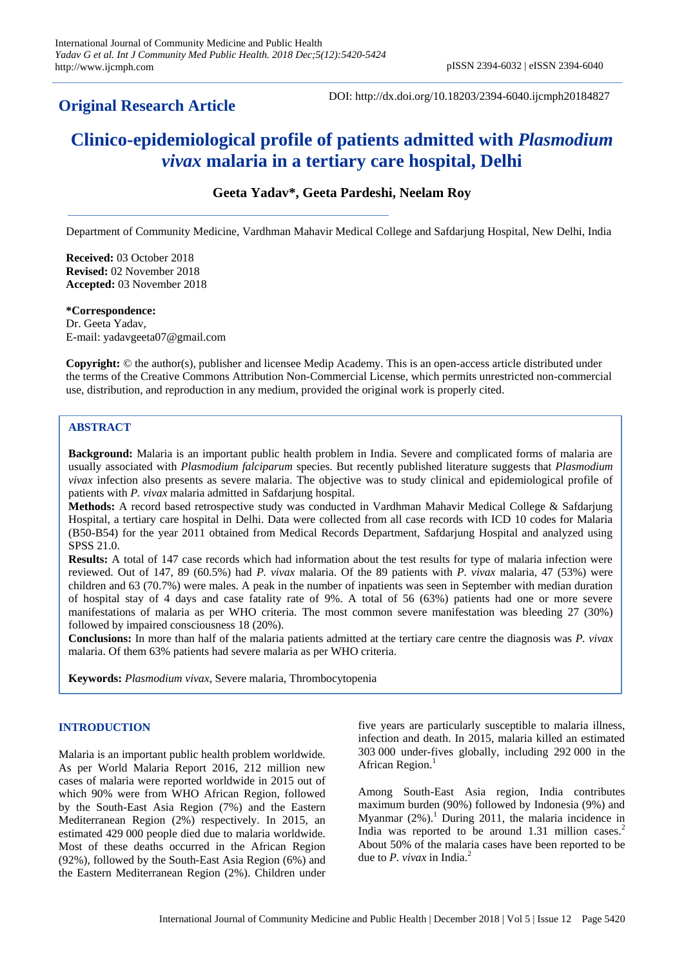# **Original Research Article**

DOI: http://dx.doi.org/10.18203/2394-6040.ijcmph20184827

# **Clinico-epidemiological profile of patients admitted with** *Plasmodium vivax* **malaria in a tertiary care hospital, Delhi**

# **Geeta Yadav\*, Geeta Pardeshi, Neelam Roy**

Department of Community Medicine, Vardhman Mahavir Medical College and Safdarjung Hospital, New Delhi, India

**Received:** 03 October 2018 **Revised:** 02 November 2018 **Accepted:** 03 November 2018

**\*Correspondence:** Dr. Geeta Yadav, E-mail: yadavgeeta07@gmail.com

**Copyright:** © the author(s), publisher and licensee Medip Academy. This is an open-access article distributed under the terms of the Creative Commons Attribution Non-Commercial License, which permits unrestricted non-commercial use, distribution, and reproduction in any medium, provided the original work is properly cited.

# **ABSTRACT**

**Background:** Malaria is an important public health problem in India. Severe and complicated forms of malaria are usually associated with *Plasmodium falciparum* species. But recently published literature suggests that *Plasmodium vivax* infection also presents as severe malaria. The objective was to study clinical and epidemiological profile of patients with *P. vivax* malaria admitted in Safdarjung hospital.

**Methods:** A record based retrospective study was conducted in Vardhman Mahavir Medical College & Safdarjung Hospital, a tertiary care hospital in Delhi. Data were collected from all case records with ICD 10 codes for Malaria (B50-B54) for the year 2011 obtained from Medical Records Department, Safdarjung Hospital and analyzed using SPSS 21.0.

**Results:** A total of 147 case records which had information about the test results for type of malaria infection were reviewed. Out of 147, 89 (60.5%) had *P. vivax* malaria. Of the 89 patients with *P. vivax* malaria, 47 (53%) were children and 63 (70.7%) were males. A peak in the number of inpatients was seen in September with median duration of hospital stay of 4 days and case fatality rate of 9%. A total of 56 (63%) patients had one or more severe manifestations of malaria as per WHO criteria. The most common severe manifestation was bleeding 27 (30%) followed by impaired consciousness 18 (20%).

**Conclusions:** In more than half of the malaria patients admitted at the tertiary care centre the diagnosis was *P. vivax* malaria. Of them 63% patients had severe malaria as per WHO criteria.

**Keywords:** *Plasmodium vivax*, Severe malaria, Thrombocytopenia

#### **INTRODUCTION**

Malaria is an important public health problem worldwide. As per World Malaria Report 2016, 212 million new cases of malaria were reported worldwide in 2015 out of which 90% were from WHO African Region, followed by the South-East Asia Region (7%) and the Eastern Mediterranean Region (2%) respectively. In 2015, an estimated 429 000 people died due to malaria worldwide. Most of these deaths occurred in the African Region (92%), followed by the South-East Asia Region (6%) and the Eastern Mediterranean Region (2%). Children under five years are particularly susceptible to malaria illness, infection and death. In 2015, malaria killed an estimated 303 000 under-fives globally, including 292 000 in the African Region.<sup>1</sup>

Among South-East Asia region, India contributes maximum burden (90%) followed by Indonesia (9%) and Myanmar  $(2\%)$ .<sup>1</sup> During 2011, the malaria incidence in India was reported to be around 1.31 million cases.<sup>2</sup> About 50% of the malaria cases have been reported to be due to *P. vivax* in India.<sup>2</sup>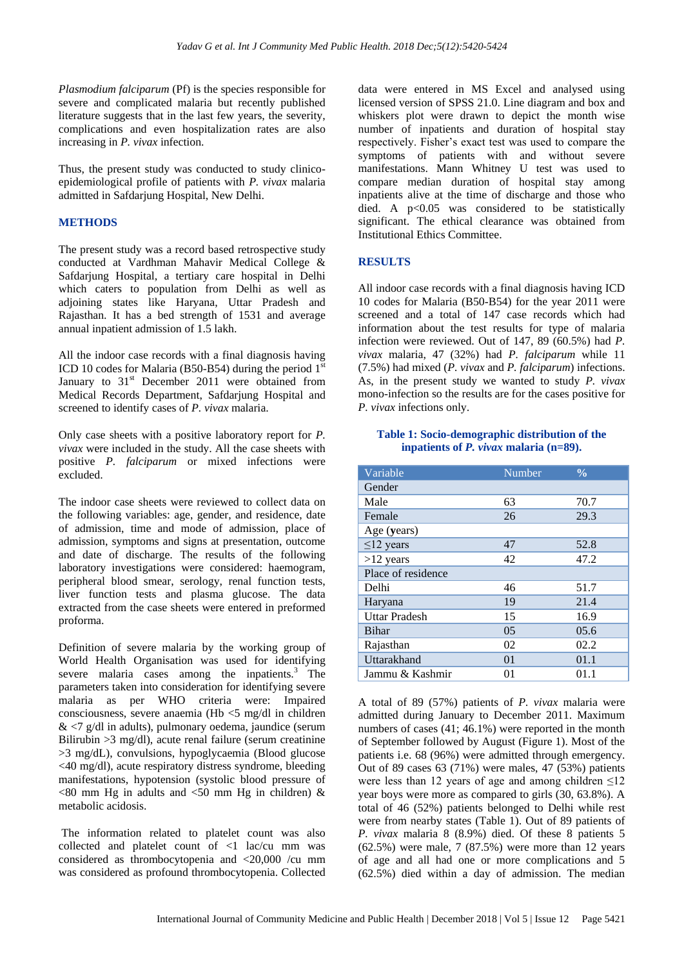*Plasmodium falciparum* (Pf) is the species responsible for severe and complicated malaria but recently published literature suggests that in the last few years, the severity, complications and even hospitalization rates are also increasing in *P. vivax* infection.

Thus, the present study was conducted to study clinicoepidemiological profile of patients with *P. vivax* malaria admitted in Safdarjung Hospital, New Delhi.

# **METHODS**

The present study was a record based retrospective study conducted at Vardhman Mahavir Medical College & Safdarjung Hospital, a tertiary care hospital in Delhi which caters to population from Delhi as well as adjoining states like Haryana, Uttar Pradesh and Rajasthan. It has a bed strength of 1531 and average annual inpatient admission of 1.5 lakh.

All the indoor case records with a final diagnosis having ICD 10 codes for Malaria (B50-B54) during the period  $1<sup>st</sup>$ January to  $31<sup>st</sup>$  December 2011 were obtained from Medical Records Department, Safdarjung Hospital and screened to identify cases of *P. vivax* malaria.

Only case sheets with a positive laboratory report for *P. vivax* were included in the study. All the case sheets with positive *P. falciparum* or mixed infections were excluded.

The indoor case sheets were reviewed to collect data on the following variables: age, gender, and residence, date of admission, time and mode of admission, place of admission, symptoms and signs at presentation, outcome and date of discharge. The results of the following laboratory investigations were considered: haemogram, peripheral blood smear, serology, renal function tests, liver function tests and plasma glucose. The data extracted from the case sheets were entered in preformed proforma.

Definition of severe malaria by the working group of World Health Organisation was used for identifying severe malaria cases among the inpatients. $3$  The parameters taken into consideration for identifying severe malaria as per WHO criteria were: Impaired consciousness, severe anaemia (Hb <5 mg/dl in children  $<7$  g/dl in adults), pulmonary oedema, jaundice (serum Bilirubin >3 mg/dl), acute renal failure (serum creatinine >3 mg/dL), convulsions, hypoglycaemia (Blood glucose <40 mg/dl), acute respiratory distress syndrome, bleeding manifestations, hypotension (systolic blood pressure of  $<$ 80 mm Hg in adults and  $<$ 50 mm Hg in children) & metabolic acidosis.

The information related to platelet count was also collected and platelet count of <1 lac/cu mm was considered as thrombocytopenia and <20,000 /cu mm was considered as profound thrombocytopenia. Collected data were entered in MS Excel and analysed using licensed version of SPSS 21.0. Line diagram and box and whiskers plot were drawn to depict the month wise number of inpatients and duration of hospital stay respectively. Fisher's exact test was used to compare the symptoms of patients with and without severe manifestations. Mann Whitney U test was used to compare median duration of hospital stay among inpatients alive at the time of discharge and those who died. A  $p<0.05$  was considered to be statistically significant. The ethical clearance was obtained from Institutional Ethics Committee.

# **RESULTS**

All indoor case records with a final diagnosis having ICD 10 codes for Malaria (B50-B54) for the year 2011 were screened and a total of 147 case records which had information about the test results for type of malaria infection were reviewed. Out of 147, 89 (60.5%) had *P. vivax* malaria, 47 (32%) had *P. falciparum* while 11 (7.5%) had mixed (*P. vivax* and *P. falciparum*) infections. As, in the present study we wanted to study *P. vivax* mono-infection so the results are for the cases positive for *P. vivax* infections only.

#### **Table 1: Socio-demographic distribution of the inpatients of** *P. vivax* **malaria (n=89).**

| Variable             | Number | $\frac{0}{0}$ |
|----------------------|--------|---------------|
| Gender               |        |               |
| Male                 | 63     | 70.7          |
| Female               | 26     | 29.3          |
| Age (years)          |        |               |
| $\leq$ 12 years      | 47     | 52.8          |
| $>12$ years          | 42     | 47.2          |
| Place of residence   |        |               |
| Delhi                | 46     | 51.7          |
| Haryana              | 19     | 21.4          |
| <b>Uttar Pradesh</b> | 15     | 16.9          |
| Bihar                | 05     | 05.6          |
| Rajasthan            | 02     | 02.2          |
| Uttarakhand          | 01     | 01.1          |
| Jammu & Kashmir      | 01     | 01.1          |

A total of 89 (57%) patients of *P. vivax* malaria were admitted during January to December 2011. Maximum numbers of cases (41; 46.1%) were reported in the month of September followed by August (Figure 1). Most of the patients i.e. 68 (96%) were admitted through emergency. Out of 89 cases 63 (71%) were males, 47 (53%) patients were less than 12 years of age and among children  $\leq 12$ year boys were more as compared to girls (30, 63.8%). A total of 46 (52%) patients belonged to Delhi while rest were from nearby states (Table 1). Out of 89 patients of *P. vivax* malaria 8 (8.9%) died. Of these 8 patients 5 (62.5%) were male, 7 (87.5%) were more than 12 years of age and all had one or more complications and 5 (62.5%) died within a day of admission. The median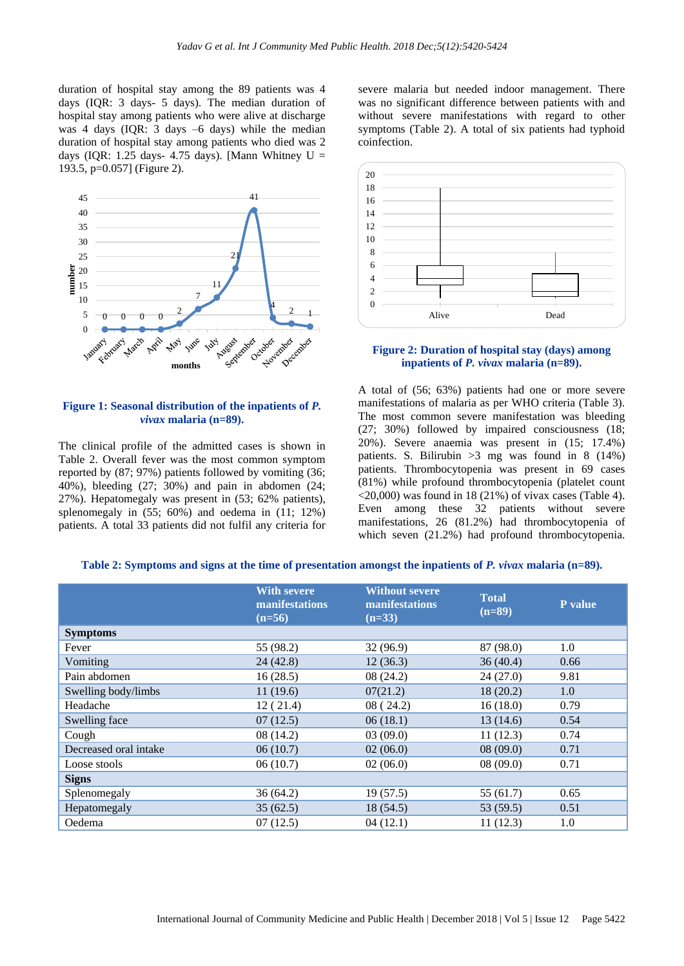duration of hospital stay among the 89 patients was 4 days (IQR: 3 days- 5 days). The median duration of hospital stay among patients who were alive at discharge was 4 days (IQR: 3 days –6 days) while the median duration of hospital stay among patients who died was 2 days (IQR: 1.25 days- 4.75 days). [Mann Whitney  $U =$ 193.5, p=0.057] (Figure 2).



## **Figure 1: Seasonal distribution of the inpatients of** *P. vivax* **malaria (n=89).**

The clinical profile of the admitted cases is shown in Table 2. Overall fever was the most common symptom reported by (87; 97%) patients followed by vomiting (36; 40%), bleeding (27; 30%) and pain in abdomen (24; 27%). Hepatomegaly was present in (53; 62% patients), splenomegaly in (55; 60%) and oedema in (11; 12%) patients. A total 33 patients did not fulfil any criteria for severe malaria but needed indoor management. There was no significant difference between patients with and without severe manifestations with regard to other symptoms (Table 2). A total of six patients had typhoid coinfection.



#### **Figure 2: Duration of hospital stay (days) among inpatients of** *P. vivax* **malaria (n=89).**

A total of (56; 63%) patients had one or more severe manifestations of malaria as per WHO criteria (Table 3). The most common severe manifestation was bleeding (27; 30%) followed by impaired consciousness (18; 20%). Severe anaemia was present in (15; 17.4%) patients. S. Bilirubin  $>3$  mg was found in 8 (14%) patients. Thrombocytopenia was present in 69 cases (81%) while profound thrombocytopenia (platelet count  $\langle 20,000 \rangle$  was found in 18 (21%) of vivax cases (Table 4). Even among these 32 patients without severe manifestations, 26 (81.2%) had thrombocytopenia of which seven (21.2%) had profound thrombocytopenia.

**Table 2: Symptoms and signs at the time of presentation amongst the inpatients of** *P. vivax* **malaria (n=89).**

|                       | <b>With severe</b><br>manifestations<br>$(n=56)$ | <b>Without severe</b><br>manifestations<br>$(n=33)$ | <b>Total</b><br>$(n=89)$ | <b>P</b> value |
|-----------------------|--------------------------------------------------|-----------------------------------------------------|--------------------------|----------------|
| <b>Symptoms</b>       |                                                  |                                                     |                          |                |
| Fever                 | 55 (98.2)                                        | 32 (96.9)                                           | 87 (98.0)                | 1.0            |
| Vomiting              | 24(42.8)                                         | 12(36.3)                                            | 36(40.4)                 | 0.66           |
| Pain abdomen          | 16(28.5)                                         | 08(24.2)                                            | 24(27.0)                 | 9.81           |
| Swelling body/limbs   | 11(19.6)                                         | 07(21.2)                                            | 18(20.2)                 | 1.0            |
| Headache              | 12(21.4)                                         | 08(24.2)                                            | 16(18.0)                 | 0.79           |
| Swelling face         | 07(12.5)                                         | 06(18.1)                                            | 13(14.6)                 | 0.54           |
| Cough                 | 08(14.2)                                         | 03(09.0)                                            | 11(12.3)                 | 0.74           |
| Decreased oral intake | 06(10.7)                                         | 02(06.0)                                            | 08(09.0)                 | 0.71           |
| Loose stools          | 06(10.7)                                         | 02(06.0)                                            | 08(09.0)                 | 0.71           |
| <b>Signs</b>          |                                                  |                                                     |                          |                |
| Splenomegaly          | 36(64.2)                                         | 19(57.5)                                            | 55(61.7)                 | 0.65           |
| Hepatomegaly          | 35(62.5)                                         | 18(54.5)                                            | 53 (59.5)                | 0.51           |
| Oedema                | 07(12.5)                                         | 04(12.1)                                            | 11(12.3)                 | 1.0            |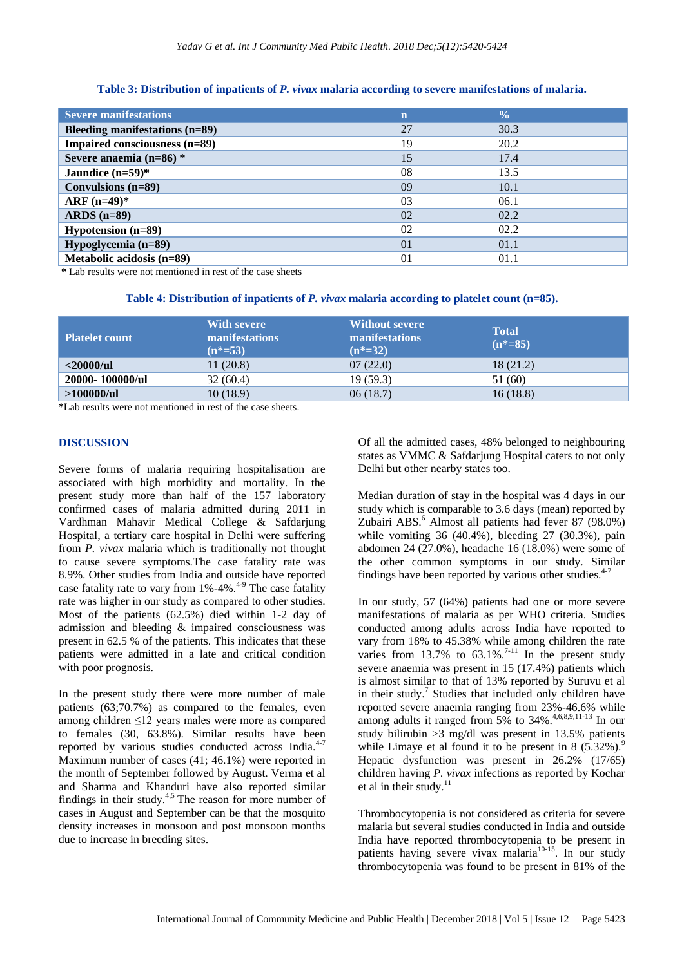#### **Table 3: Distribution of inpatients of** *P. vivax* **malaria according to severe manifestations of malaria.**

| <b>Severe manifestations</b>   | $\mathbf n$    | $\frac{0}{0}$ |  |
|--------------------------------|----------------|---------------|--|
| Bleeding manifestations (n=89) | 27             | 30.3          |  |
| Impaired consciousness (n=89)  | 19             | 20.2          |  |
| Severe anaemia (n=86) *        | 15             | 17.4          |  |
| Jaundice $(n=59)$ *            | 08             | 13.5          |  |
| Convulsions (n=89)             | 09             | 10.1          |  |
| $ARF (n=49)$ *                 | 03             | 06.1          |  |
| ARDS $(n=89)$                  | 02             | 02.2          |  |
| <b>Hypotension</b> $(n=89)$    | 02             | 02.2          |  |
| Hypoglycemia (n=89)            | 0 <sub>1</sub> | 01.1          |  |
| Metabolic acidosis (n=89)      | 0 <sub>1</sub> | 01.1          |  |

**\*** Lab results were not mentioned in rest of the case sheets

| Table 4: Distribution of inpatients of $P$ . vivax malaria according to platelet count ( $n=85$ ). |  |  |  |  |
|----------------------------------------------------------------------------------------------------|--|--|--|--|
|----------------------------------------------------------------------------------------------------|--|--|--|--|

| <b>Platelet count</b> | <b>With severe</b><br><b>manifestations</b><br>$(n^* = 53)$ | <b>Without severe</b><br><b>manifestations</b><br>$(n^*=32)$ | <b>Total</b><br>$(n^*=85)$ |
|-----------------------|-------------------------------------------------------------|--------------------------------------------------------------|----------------------------|
| $<$ 20000/ul          | 11(20.8)                                                    | 07(22.0)                                                     | 18 (21.2)                  |
| 20000-100000/ul       | 32(60.4)                                                    | 19(59.3)                                                     | 51 (60)                    |
| >100000/ul            | 10(18.9)                                                    | 06(18.7)                                                     | 16(18.8)                   |

**\***Lab results were not mentioned in rest of the case sheets.

#### **DISCUSSION**

Severe forms of malaria requiring hospitalisation are associated with high morbidity and mortality. In the present study more than half of the 157 laboratory confirmed cases of malaria admitted during 2011 in Vardhman Mahavir Medical College & Safdarjung Hospital, a tertiary care hospital in Delhi were suffering from *P. vivax* malaria which is traditionally not thought to cause severe symptoms.The case fatality rate was 8.9%. Other studies from India and outside have reported case fatality rate to vary from  $1\%$ -4%.<sup>4-9</sup> The case fatality rate was higher in our study as compared to other studies. Most of the patients (62.5%) died within 1-2 day of admission and bleeding & impaired consciousness was present in 62.5 % of the patients. This indicates that these patients were admitted in a late and critical condition with poor prognosis.

In the present study there were more number of male patients (63;70.7%) as compared to the females, even among children ≤12 years males were more as compared to females (30, 63.8%). Similar results have been reported by various studies conducted across India.<sup>4-7</sup> Maximum number of cases (41; 46.1%) were reported in the month of September followed by August. Verma et al and Sharma and Khanduri have also reported similar findings in their study. $4,5$  The reason for more number of cases in August and September can be that the mosquito density increases in monsoon and post monsoon months due to increase in breeding sites.

Of all the admitted cases, 48% belonged to neighbouring states as VMMC & Safdarjung Hospital caters to not only Delhi but other nearby states too.

Median duration of stay in the hospital was 4 days in our study which is comparable to 3.6 days (mean) reported by Zubairi ABS. $<sup>6</sup>$  Almost all patients had fever 87 (98.0%)</sup> while vomiting 36 (40.4%), bleeding 27 (30.3%), pain abdomen 24 (27.0%), headache 16 (18.0%) were some of the other common symptoms in our study. Similar findings have been reported by various other studies. $4-7$ 

In our study, 57 (64%) patients had one or more severe manifestations of malaria as per WHO criteria. Studies conducted among adults across India have reported to vary from 18% to 45.38% while among children the rate varies from  $13.7\%$  to  $63.1\%$ .<sup>7-11</sup> In the present study severe anaemia was present in 15 (17.4%) patients which is almost similar to that of 13% reported by Suruvu et al in their study.<sup>7</sup> Studies that included only children have reported severe anaemia ranging from 23%-46.6% while among adults it ranged from  $5\%$  to  $34\%$ .<sup>4,6,8,9,11-13</sup> In our study bilirubin >3 mg/dl was present in 13.5% patients while Limaye et al found it to be present in  $8$  (5.32%).<sup>9</sup> Hepatic dysfunction was present in 26.2% (17/65) children having *P. vivax* infections as reported by Kochar et al in their study. $11$ 

Thrombocytopenia is not considered as criteria for severe malaria but several studies conducted in India and outside India have reported thrombocytopenia to be present in patients having severe vivax malaria<sup>10-15</sup>. In our study thrombocytopenia was found to be present in 81% of the